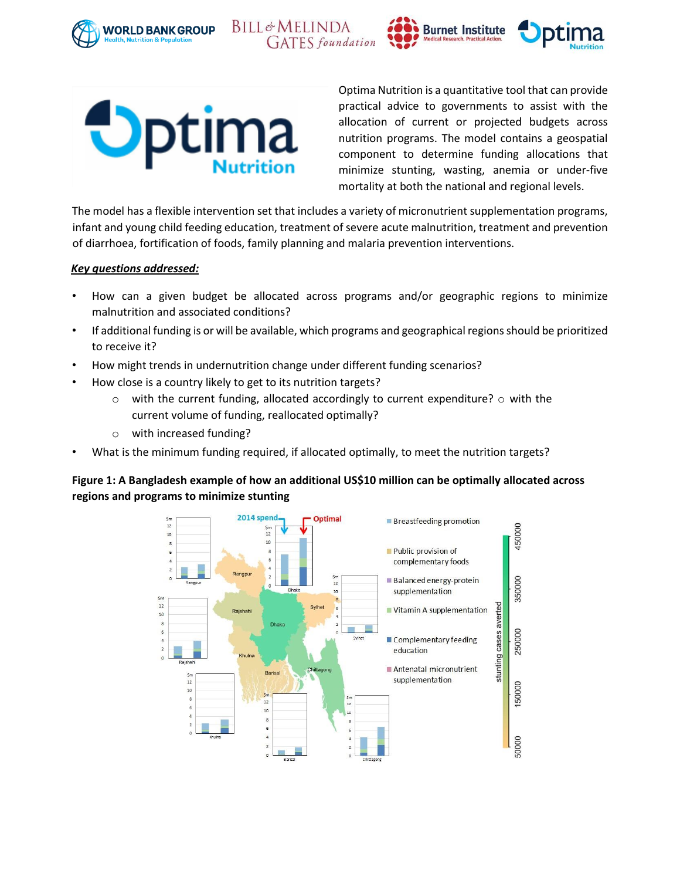







Optima Nutrition is a quantitative tool that can provide practical advice to governments to assist with the allocation of current or projected budgets across nutrition programs. The model contains a geospatial component to determine funding allocations that minimize stunting, wasting, anemia or under-five mortality at both the national and regional levels.

The model has a flexible intervention set that includes a variety of micronutrient supplementation programs, infant and young child feeding education, treatment of severe acute malnutrition, treatment and prevention of diarrhoea, fortification of foods, family planning and malaria prevention interventions.

#### *Key questions addressed:*

- How can a given budget be allocated across programs and/or geographic regions to minimize malnutrition and associated conditions?
- If additional funding is or will be available, which programs and geographical regions should be prioritized to receive it?
- How might trends in undernutrition change under different funding scenarios?

**BILL**&MELINDA

- How close is a country likely to get to its nutrition targets?
	- $\circ$  with the current funding, allocated accordingly to current expenditure?  $\circ$  with the current volume of funding, reallocated optimally?
	- o with increased funding?
- What is the minimum funding required, if allocated optimally, to meet the nutrition targets?

## **Figure 1: A Bangladesh example of how an additional US\$10 million can be optimally allocated across regions and programs to minimize stunting**

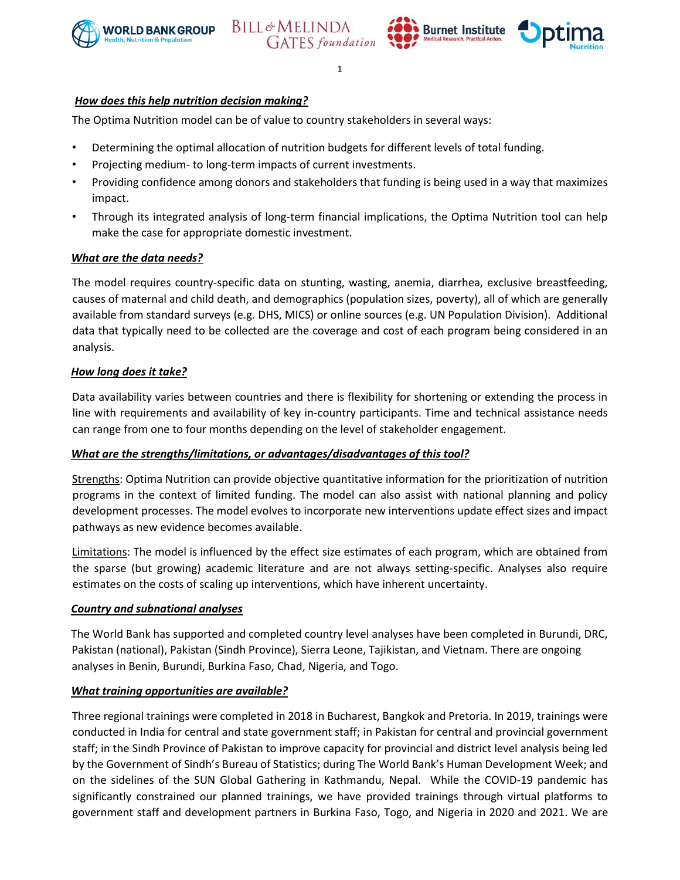





1

### *How does this help nutrition decision making?*

The Optima Nutrition model can be of value to country stakeholders in several ways:

- Determining the optimal allocation of nutrition budgets for different levels of total funding.
- Projecting medium- to long-term impacts of current investments.
- Providing confidence among donors and stakeholders that funding is being used in a way that maximizes impact.
- Through its integrated analysis of long-term financial implications, the Optima Nutrition tool can help make the case for appropriate domestic investment.

#### *What are the data needs?*

The model requires country-specific data on stunting, wasting, anemia, diarrhea, exclusive breastfeeding, causes of maternal and child death, and demographics (population sizes, poverty), all of which are generally available from standard surveys (e.g. DHS, MICS) or online sources (e.g. UN Population Division). Additional data that typically need to be collected are the coverage and cost of each program being considered in an analysis.

#### *How long does it take?*

Data availability varies between countries and there is flexibility for shortening or extending the process in line with requirements and availability of key in-country participants. Time and technical assistance needs can range from one to four months depending on the level of stakeholder engagement.

#### *What are the strengths/limitations, or advantages/disadvantages of this tool?*

Strengths: Optima Nutrition can provide objective quantitative information for the prioritization of nutrition programs in the context of limited funding. The model can also assist with national planning and policy development processes. The model evolves to incorporate new interventions update effect sizes and impact pathways as new evidence becomes available.

Limitations: The model is influenced by the effect size estimates of each program, which are obtained from the sparse (but growing) academic literature and are not always setting-specific. Analyses also require estimates on the costs of scaling up interventions, which have inherent uncertainty.

#### *Country and subnational analyses*

The World Bank has supported and completed country level analyses have been completed in Burundi, DRC, Pakistan (national), Pakistan (Sindh Province), Sierra Leone, Tajikistan, and Vietnam. There are ongoing analyses in Benin, Burundi, Burkina Faso, Chad, Nigeria, and Togo.

#### *What training opportunities are available?*

Three regional trainings were completed in 2018 in Bucharest, Bangkok and Pretoria. In 2019, trainings were conducted in India for central and state government staff; in Pakistan for central and provincial government staff; in the Sindh Province of Pakistan to improve capacity for provincial and district level analysis being led by the Government of Sindh's Bureau of Statistics; during The World Bank's Human Development Week; and on the sidelines of the SUN Global Gathering in Kathmandu, Nepal. While the COVID-19 pandemic has significantly constrained our planned trainings, we have provided trainings through virtual platforms to government staff and development partners in Burkina Faso, Togo, and Nigeria in 2020 and 2021. We are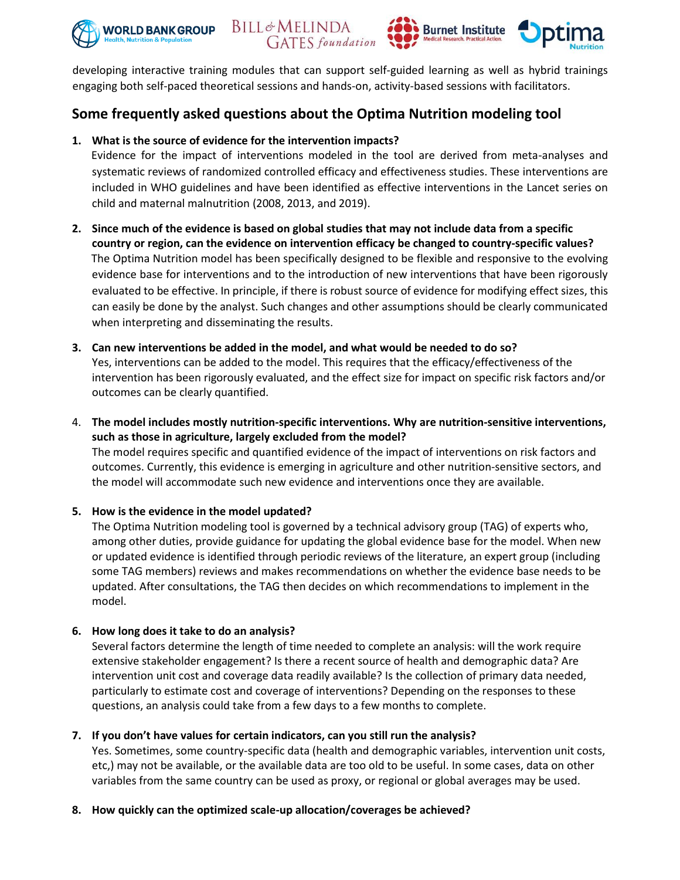







developing interactive training modules that can support self-guided learning as well as hybrid trainings engaging both self-paced theoretical sessions and hands-on, activity-based sessions with facilitators.

# **Some frequently asked questions about the Optima Nutrition modeling tool**

## **1. What is the source of evidence for the intervention impacts?**

Evidence for the impact of interventions modeled in the tool are derived from meta-analyses and systematic reviews of randomized controlled efficacy and effectiveness studies. These interventions are included in WHO guidelines and have been identified as effective interventions in the Lancet series on child and maternal malnutrition (2008, 2013, and 2019).

- **2. Since much of the evidence is based on global studies that may not include data from a specific country or region, can the evidence on intervention efficacy be changed to country-specific values?** The Optima Nutrition model has been specifically designed to be flexible and responsive to the evolving evidence base for interventions and to the introduction of new interventions that have been rigorously evaluated to be effective. In principle, if there is robust source of evidence for modifying effect sizes, this can easily be done by the analyst. Such changes and other assumptions should be clearly communicated when interpreting and disseminating the results.
- **3. Can new interventions be added in the model, and what would be needed to do so?** Yes, interventions can be added to the model. This requires that the efficacy/effectiveness of the intervention has been rigorously evaluated, and the effect size for impact on specific risk factors and/or outcomes can be clearly quantified.
- 4. **The model includes mostly nutrition-specific interventions. Why are nutrition-sensitive interventions, such as those in agriculture, largely excluded from the model?** The model requires specific and quantified evidence of the impact of interventions on risk factors and outcomes. Currently, this evidence is emerging in agriculture and other nutrition-sensitive sectors, and the model will accommodate such new evidence and interventions once they are available.

## **5. How is the evidence in the model updated?**

The Optima Nutrition modeling tool is governed by a technical advisory group (TAG) of experts who, among other duties, provide guidance for updating the global evidence base for the model. When new or updated evidence is identified through periodic reviews of the literature, an expert group (including some TAG members) reviews and makes recommendations on whether the evidence base needs to be updated. After consultations, the TAG then decides on which recommendations to implement in the model.

## **6. How long does it take to do an analysis?**

Several factors determine the length of time needed to complete an analysis: will the work require extensive stakeholder engagement? Is there a recent source of health and demographic data? Are intervention unit cost and coverage data readily available? Is the collection of primary data needed, particularly to estimate cost and coverage of interventions? Depending on the responses to these questions, an analysis could take from a few days to a few months to complete.

## **7. If you don't have values for certain indicators, can you still run the analysis?**

Yes. Sometimes, some country-specific data (health and demographic variables, intervention unit costs, etc,) may not be available, or the available data are too old to be useful. In some cases, data on other variables from the same country can be used as proxy, or regional or global averages may be used.

#### **8. How quickly can the optimized scale-up allocation/coverages be achieved?**